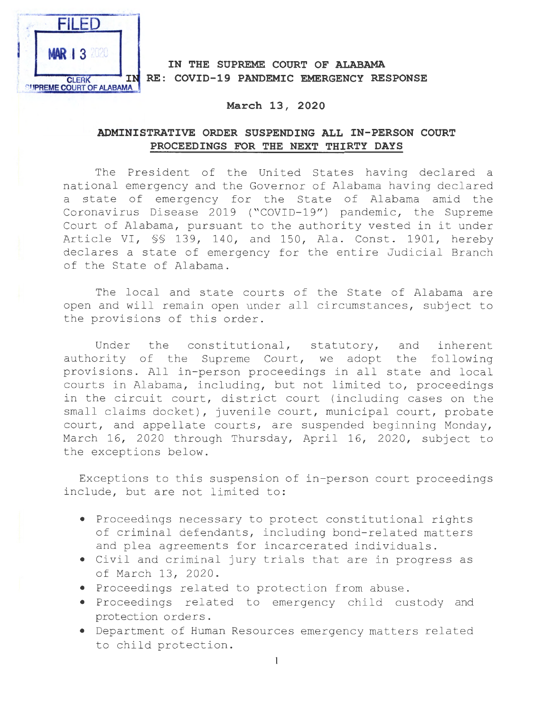

## **IN THE SUPREME COURT OF ALABAMA CLERK IN RE: COVID-19 PANDEMIC EMERGENCY RESPONSE**

## **March 13, 2020**

## **ADMINISTRATIVE ORDER SUSPENDING ALL IN-PERSON COURT PROCEEDINGS FOR THE NEXT THIRTY DAYS**

The President of the United States having declared a national emergency and the Governor of Alabama having declared a state of emergency for the State of Alabama amid the Coronavirus Disease 2019 ("COVID-19") pandemic, the Supreme Court of Alabama, pursuant to the authority vested in it under Article VI, §§ 139, 140, and 150, Ala. Const. 1901, hereby declares a state of emergency for the entire Judicial Branch of the State of Alabama .

The local and state courts of the State of Alabama are open and will remain open under all circumstances, subject to the provisions of this order .

Under the constitutional, statutory, and inherent authority of the Supreme Court, we adopt the following provisions. All in-person proceedings in all state and local courts in Alabama, including, but not limited to, proceedings in the circuit court, district court (including cases on the small claims docket), juvenile court, municipal court, probate court, and appellate courts, are suspended beginning Monday, March 16, 2020 through Thursday, April 16, 2020, subject to the exceptions below.

Exceptions to this suspension of in-person court proceedings include, but are not limited to:

- Proceedings necessary to protect constitutional rights of criminal defendants, including bond- related matters and plea agreements for incarcerated individuals .
- Civil and criminal jury trials that are in progress as of March 13, 2020.
- Proceedings related to protection from abuse .
- Proceedings related to emergency child custody and protection orders.
- Department of Human Resources emergency matters related to child protection .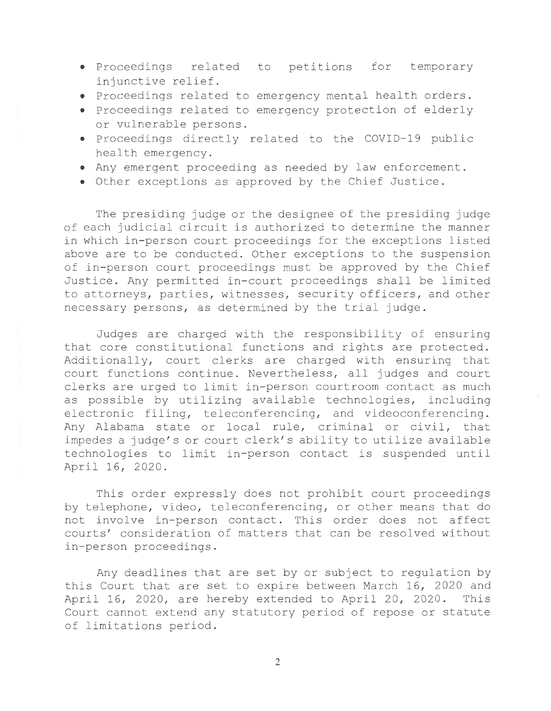- Proceedings related to petitions for temporary injunctive relief .
- Proceedings related to emergency mental health orders .
- Proceedings related to emergency protection of elderly or vulnerable persons .
- Proceedings directly related to the COVID-19 public health emergency .
- Any emergent proceeding as needed by law enforcement .
- Other exceptions as approved by the Chief Justice .

The presiding judge or the designee of the presiding judge of each judicial circuit is authorized to determine the manner in which in-person court proceedings for the exceptions listed above are to be conducted. Other exceptions to the suspension of in-person court proceedings must be approved by the Chief Justice. Any permitted in-court proceedings shall be limited to attorneys, parties, witnesses, security officers, and other necessary persons, as determined by the trial judge .

Judges are charged with the responsibility of ensuring that core constitutional functions and rights are protected. Additionally, court clerks are charged with ensuring that court functions continue. Nevertheless, all judges and court clerks are urged to limit in-person courtroom contact as much as possible by utilizing available technologies, including electronic filing, teleconferencing, and videoconferencing. Any Alabama state or local rule, criminal or civil, that impedes a judge's or court clerk's ability to utilize available technologies to limit in- person contact is suspended until April 16, 2020.

This order expressly does not prohibit court proceedings by telephone, video, teleconferencing, or other means that do not involve in-person contact. This order does not affect courts' consideration of matters that can be resolved without in- person proceedings .

Any deadlines that are set by or subject to regulation by this Court that are set to expire between March 16, 2020 and April 16, 2020, are hereby extended to April 20, 2020. This Court cannot extend any statutory period of repose or statute of limitations period .

2